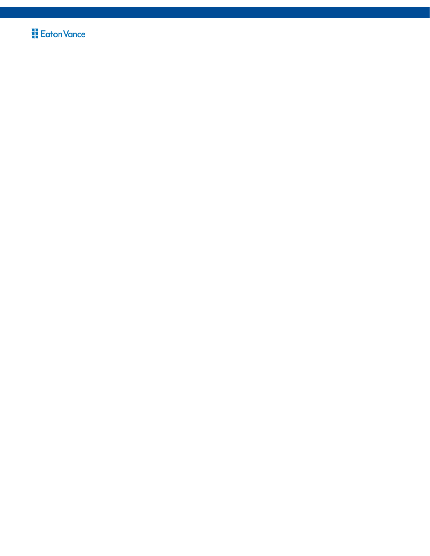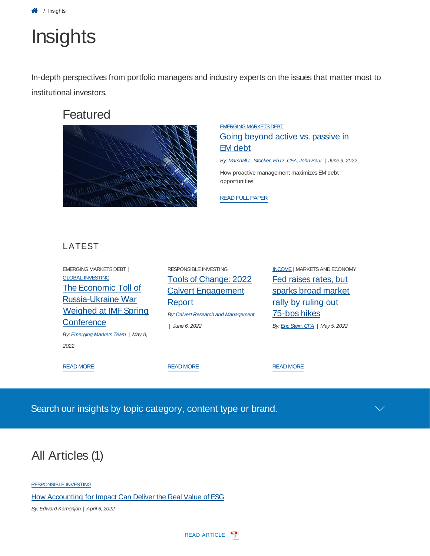# **Insights**

In-depth perspectives from portfolio managers and industry experts on the issues that matter most to institutional investors.

### Featured



EMERGING MARKETS DEBT Going beyond active vs. passive in EM debt By: Marshall L. Stocker, Ph.D., CFA, John Baur | June 9, 2022

How proactive management maximizesEM debt opportunities

READ FULL PAPER

#### LATEST

| June 6, 2022                               | By: <i>Eric Stein, CFA</i>   May 5, 2022                                           |
|--------------------------------------------|------------------------------------------------------------------------------------|
| <b>By: Calvert Research and Management</b> | 75-bps hikes                                                                       |
| Report                                     | rally by ruling out                                                                |
|                                            | sparks broad market                                                                |
|                                            | Fed raises rates, but                                                              |
|                                            |                                                                                    |
|                                            | <b>INCOME   MARKETS AND ECONOMY</b>                                                |
|                                            | <b>RESPONSIBLE INVESTING</b><br>Tools of Change: 2022<br><b>Calvert Engagement</b> |

READ MORE

READ MORE

READ MORE

#### Search our insights by topic category, content type or brand.



RESPONSIBLE INVESTING

How Accounting for Impact Can Deliver the Real Value of ESG

By: Edward Kamonjoh | April 6, 2022